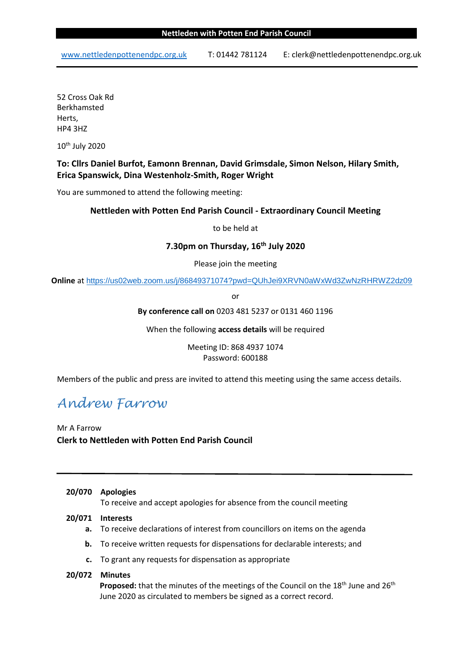[www.nettledenpottenendpc.org.uk](http://www.nettledenpottenendpc.org.uk/) T: 01442 781124 E: clerk@nettledenpottenendpc.org.uk

52 Cross Oak Rd Berkhamsted Herts, HP4 3HZ

10th July 2020

# **To: Cllrs Daniel Burfot, Eamonn Brennan, David Grimsdale, Simon Nelson, Hilary Smith, Erica Spanswick, Dina Westenholz-Smith, Roger Wright**

You are summoned to attend the following meeting:

# **Nettleden with Potten End Parish Council - Extraordinary Council Meeting**

to be held at

# **7.30pm on Thursday, 16th July 2020**

Please join the meeting

**Online** at https://us02web.zoom.us/j/86849371074?pwd=QUhJei9XRVN0aWxWd3ZwNzRHRWZ2dz09

or

#### **By conference call on** 0203 481 5237 or 0131 460 1196

When the following **access details** will be required

Meeting ID: 868 4937 1074 Password: 600188

Members of the public and press are invited to attend this meeting using the same access details.

# *Andrew Farrow*

Mr A Farrow **Clerk to Nettleden with Potten End Parish Council**

- **20/070 Apologies** To receive and accept apologies for absence from the council meeting
- **20/071 Interests**
	- **a.** To receive declarations of interest from councillors on items on the agenda
	- **b.** To receive written requests for dispensations for declarable interests; and
	- **c.** To grant any requests for dispensation as appropriate

# **20/072 Minutes**

**Proposed:** that the minutes of the meetings of the Council on the 18<sup>th</sup> June and 26<sup>th</sup> June 2020 as circulated to members be signed as a correct record.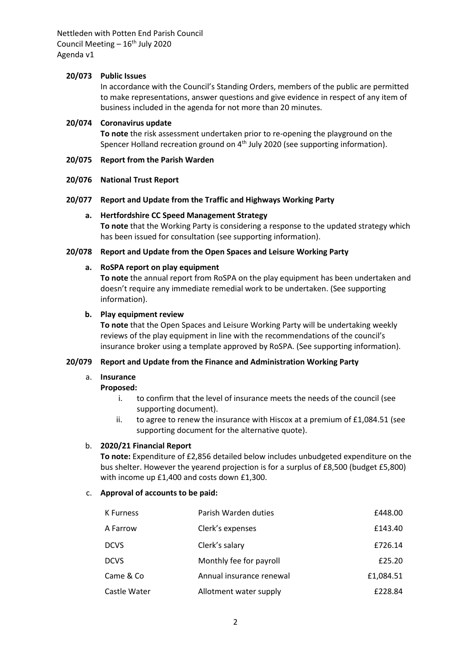Nettleden with Potten End Parish Council Council Meeting  $-16^{th}$  July 2020 Agenda v1

# **20/073 Public Issues**

In accordance with the Council's Standing Orders, members of the public are permitted to make representations, answer questions and give evidence in respect of any item of business included in the agenda for not more than 20 minutes.

### **20/074 Coronavirus update**

**To note** the risk assessment undertaken prior to re-opening the playground on the Spencer Holland recreation ground on 4<sup>th</sup> July 2020 (see supporting information).

#### **20/075 Report from the Parish Warden**

#### **20/076 National Trust Report**

#### **20/077 Report and Update from the Traffic and Highways Working Party**

# **a. Hertfordshire CC Speed Management Strategy**

**To note** that the Working Party is considering a response to the updated strategy which has been issued for consultation (see supporting information).

#### **20/078 Report and Update from the Open Spaces and Leisure Working Party**

#### **a. RoSPA report on play equipment**

**To note** the annual report from RoSPA on the play equipment has been undertaken and doesn't require any immediate remedial work to be undertaken. (See supporting information).

#### **b. Play equipment review**

**To note** that the Open Spaces and Leisure Working Party will be undertaking weekly reviews of the play equipment in line with the recommendations of the council's insurance broker using a template approved by RoSPA. (See supporting information).

# **20/079 Report and Update from the Finance and Administration Working Party**

# a. **Insurance**

#### **Proposed:**

- i. to confirm that the level of insurance meets the needs of the council (see supporting document).
- ii. to agree to renew the insurance with Hiscox at a premium of £1,084.51 (see supporting document for the alternative quote).

#### b. **2020/21 Financial Report**

**To note:** Expenditure of £2,856 detailed below includes unbudgeted expenditure on the bus shelter. However the yearend projection is for a surplus of £8,500 (budget £5,800) with income up £1,400 and costs down £1,300.

#### c. **Approval of accounts to be paid:**

| K Furness    | Parish Warden duties     | £448.00   |
|--------------|--------------------------|-----------|
| A Farrow     | Clerk's expenses         | £143.40   |
| <b>DCVS</b>  | Clerk's salary           | £726.14   |
| <b>DCVS</b>  | Monthly fee for payroll  | £25.20    |
| Came & Co    | Annual insurance renewal | £1,084.51 |
| Castle Water | Allotment water supply   | £228.84   |